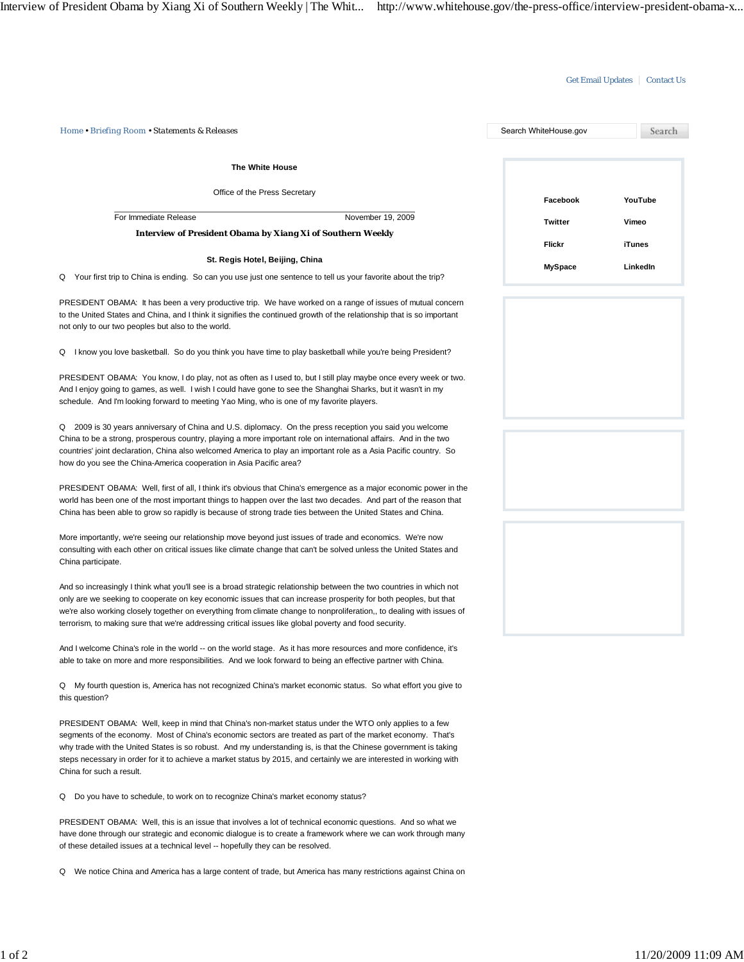## Get Email Updates | Contact Us

| Home • Briefing Room • Statements & Releases                                                                                                                                                                                                                                                                                                                                                                                                                                                 | Search WhiteHouse.gov | Search   |
|----------------------------------------------------------------------------------------------------------------------------------------------------------------------------------------------------------------------------------------------------------------------------------------------------------------------------------------------------------------------------------------------------------------------------------------------------------------------------------------------|-----------------------|----------|
| The White House                                                                                                                                                                                                                                                                                                                                                                                                                                                                              |                       |          |
| Office of the Press Secretary                                                                                                                                                                                                                                                                                                                                                                                                                                                                | Facebook              | YouTube  |
| For Immediate Release<br>November 19, 2009                                                                                                                                                                                                                                                                                                                                                                                                                                                   | Twitter               | Vimeo    |
| <b>Interview of President Obama by Xiang Xi of Southern Weekly</b>                                                                                                                                                                                                                                                                                                                                                                                                                           | Flickr                | iTunes   |
| St. Regis Hotel, Beijing, China                                                                                                                                                                                                                                                                                                                                                                                                                                                              |                       |          |
| Your first trip to China is ending. So can you use just one sentence to tell us your favorite about the trip?<br>Q                                                                                                                                                                                                                                                                                                                                                                           | <b>MySpace</b>        | LinkedIn |
| PRESIDENT OBAMA: It has been a very productive trip. We have worked on a range of issues of mutual concern<br>to the United States and China, and I think it signifies the continued growth of the relationship that is so important<br>not only to our two peoples but also to the world.                                                                                                                                                                                                   |                       |          |
| Q I know you love basketball. So do you think you have time to play basketball while you're being President?                                                                                                                                                                                                                                                                                                                                                                                 |                       |          |
| PRESIDENT OBAMA: You know, I do play, not as often as I used to, but I still play maybe once every week or two.<br>And I enjoy going to games, as well. I wish I could have gone to see the Shanghai Sharks, but it wasn't in my<br>schedule. And I'm looking forward to meeting Yao Ming, who is one of my favorite players.                                                                                                                                                                |                       |          |
| Q 2009 is 30 years anniversary of China and U.S. diplomacy. On the press reception you said you welcome<br>China to be a strong, prosperous country, playing a more important role on international affairs. And in the two<br>countries' joint declaration, China also welcomed America to play an important role as a Asia Pacific country. So<br>how do you see the China-America cooperation in Asia Pacific area?                                                                       |                       |          |
| PRESIDENT OBAMA: Well, first of all, I think it's obvious that China's emergence as a major economic power in the<br>world has been one of the most important things to happen over the last two decades. And part of the reason that<br>China has been able to grow so rapidly is because of strong trade ties between the United States and China.                                                                                                                                         |                       |          |
| More importantly, we're seeing our relationship move beyond just issues of trade and economics. We're now<br>consulting with each other on critical issues like climate change that can't be solved unless the United States and<br>China participate.                                                                                                                                                                                                                                       |                       |          |
| And so increasingly I think what you'll see is a broad strategic relationship between the two countries in which not<br>only are we seeking to cooperate on key economic issues that can increase prosperity for both peoples, but that<br>we're also working closely together on everything from climate change to nonproliferation,, to dealing with issues of<br>terrorism, to making sure that we're addressing critical issues like global poverty and food security.                   |                       |          |
| And I welcome China's role in the world -- on the world stage. As it has more resources and more confidence, it's<br>able to take on more and more responsibilities. And we look forward to being an effective partner with China.                                                                                                                                                                                                                                                           |                       |          |
| Q My fourth question is, America has not recognized China's market economic status. So what effort you give to<br>this question?                                                                                                                                                                                                                                                                                                                                                             |                       |          |
| PRESIDENT OBAMA: Well, keep in mind that China's non-market status under the WTO only applies to a few<br>segments of the economy. Most of China's economic sectors are treated as part of the market economy. That's<br>why trade with the United States is so robust. And my understanding is, is that the Chinese government is taking<br>steps necessary in order for it to achieve a market status by 2015, and certainly we are interested in working with<br>China for such a result. |                       |          |
| Do you have to schedule, to work on to recognize China's market economy status?<br>Q                                                                                                                                                                                                                                                                                                                                                                                                         |                       |          |
| PRESIDENT OBAMA: Well, this is an issue that involves a lot of technical economic questions. And so what we<br>have done through our strategic and economic dialogue is to create a framework where we can work through many<br>of these detailed issues at a technical level -- hopefully they can be resolved.                                                                                                                                                                             |                       |          |
| Q We notice China and America has a large content of trade, but America has many restrictions against China on                                                                                                                                                                                                                                                                                                                                                                               |                       |          |